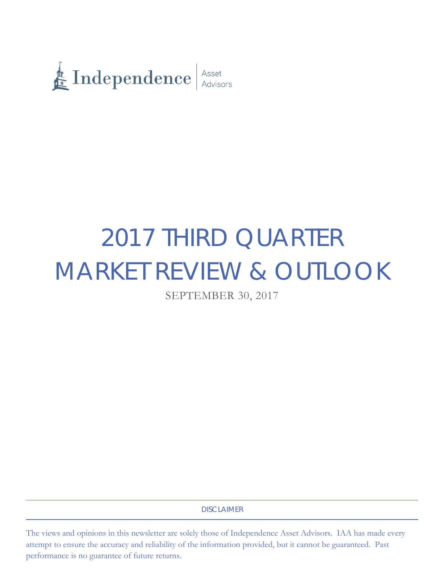

# 2017 THIRD QUARTER MARKET REVIEW & OUTLOOK

SEPTEMBER 30, 2017

DISCLAIMER

The views and opinions in this newsletter are solely those of Independence Asset Advisors. IAA has made every attempt to ensure the accuracy and reliability of the information provided, but it cannot be guaranteed. Past performance is no guarantee of future returns.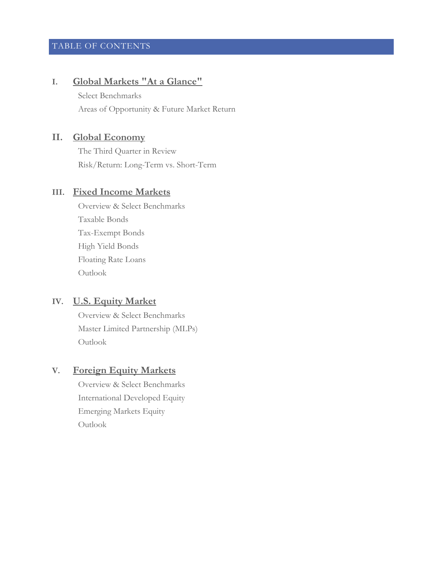# TABLE OF CONTENTS

# **I. Global Markets "At a Glance"**

Select Benchmarks Areas of Opportunity & Future Market Return

# **II. Global Economy**

The Third Quarter in Review Risk/Return: Long-Term vs. Short-Term

# **III. Fixed Income Markets**

Overview & Select Benchmarks Taxable Bonds Tax-Exempt Bonds High Yield Bonds Floating Rate Loans Outlook

# **IV. U.S. Equity Market**

Overview & Select Benchmarks Master Limited Partnership (MLPs) Outlook

# **V. Foreign Equity Markets**

Overview & Select Benchmarks International Developed Equity Emerging Markets Equity Outlook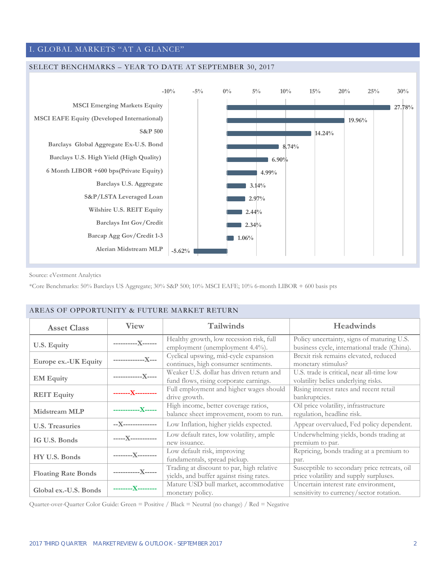# I. GLOBAL MARKETS "AT A GLANCE"

#### SELECT BENCHMARKS – YEAR TO DATE AT SEPTEMBER 30, 2017



Source: eVestment Analytics

\*Core Benchmarks: 50% Barclays US Aggregate; 30% S&P 500; 10% MSCI EAFE; 10% 6-month LIBOR + 600 basis pts

| <b>Asset Class</b>         | <b>View</b>         | <b>Tailwinds</b>                                                                      | Headwinds                                                                                  |
|----------------------------|---------------------|---------------------------------------------------------------------------------------|--------------------------------------------------------------------------------------------|
| U.S. Equity                | -----------X------  | Healthy growth, low recession risk, full<br>employment (unemployment 4.4%).           | Policy uncertainty, signs of maturing U.S.<br>business cycle, international trade (China). |
| Europe ex.-UK Equity       | ---------------X--- | Cyclical upswing, mid-cycle expansion<br>continues, high consumer sentiments.         | Brexit risk remains elevated, reduced<br>monetary stimulus?                                |
| <b>EM Equity</b>           | -------------X----  | Weaker U.S. dollar has driven return and<br>fund flows, rising corporate earnings.    | U.S. trade is critical, near all-time low<br>volatility belies underlying risks.           |
| <b>REIT Equity</b>         | -------X---------   | Full employment and higher wages should<br>drive growth.                              | Rising interest rates and recent retail<br>bankruptcies.                                   |
| <b>Midstream MLP</b>       | ------------X-----  | High income, better coverage ratios,<br>balance sheet improvement, room to run.       | Oil price volatility, infrastructure<br>regulation, headline risk.                         |
| <b>U.S. Treasuries</b>     | --X---------------  | Low Inflation, higher yields expected.                                                | Appear overvalued, Fed policy dependent.                                                   |
| IG U.S. Bonds              | -----X-----------   | Low default rates, low volatility, ample<br>new issuance.                             | Underwhelming yields, bonds trading at<br>premium to par.                                  |
| HY U.S. Bonds              | ---------X--------- | Low default risk, improving<br>fundamentals, spread pickup.                           | Repricing, bonds trading at a premium to<br>par.                                           |
| <b>Floating Rate Bonds</b> | ------------X-----  | Trading at discount to par, high relative<br>yields, and buffer against rising rates. | Susceptible to secondary price retreats, oil<br>price volatility and supply surpluses.     |
| Global ex.-U.S. Bonds      | ---------X--------  | Mature USD bull market, accommodative<br>monetary policy.                             | Uncertain interest rate environment,<br>sensitivity to currency/sector rotation.           |

#### AREAS OF OPPORTUNITY & FUTURE MARKET RETURN

Quarter-over-Quarter Color Guide: Green = Positive / Black = Neutral (no change) / Red = Negative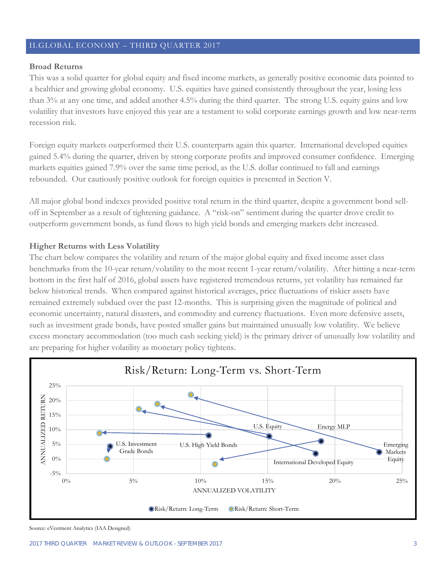# II.GLOBAL ECONOMY – THIRD QUARTER 2017

## **Broad Returns**

This was a solid quarter for global equity and fixed income markets, as generally positive economic data pointed to a healthier and growing global economy. U.S. equities have gained consistently throughout the year, losing less than 3% at any one time, and added another 4.5% during the third quarter. The strong U.S. equity gains and low volatility that investors have enjoyed this year are a testament to solid corporate earnings growth and low near-term recession risk.

Foreign equity markets outperformed their U.S. counterparts again this quarter. International developed equities gained 5.4% during the quarter, driven by strong corporate profits and improved consumer confidence. Emerging markets equities gained 7.9% over the same time period, as the U.S. dollar continued to fall and earnings rebounded. Our cautiously positive outlook for foreign equities is presented in Section V.

All major global bond indexes provided positive total return in the third quarter, despite a government bond selloff in September as a result of tightening guidance. A "risk-on" sentiment during the quarter drove credit to outperform government bonds, as fund flows to high yield bonds and emerging markets debt increased.

## **Higher Returns with Less Volatility**

The chart below compares the volatility and return of the major global equity and fixed income asset class benchmarks from the 10-year return/volatility to the most recent 1-year return/volatility. After hitting a near-term bottom in the first half of 2016, global assets have registered tremendous returns, yet volatility has remained far below historical trends. When compared against historical averages, price fluctuations of riskier assets have remained extremely subdued over the past 12-months. This is surprising given the magnitude of political and economic uncertainty, natural disasters, and commodity and currency fluctuations. Even more defensive assets, such as investment grade bonds, have posted smaller gains but maintained unusually low volatility. We believe excess monetary accommodation (too much cash seeking yield) is the primary driver of unusually low volatility and are preparing for higher volatility as monetary policy tightens.



Source: eVestment Analytics (IAA Designed)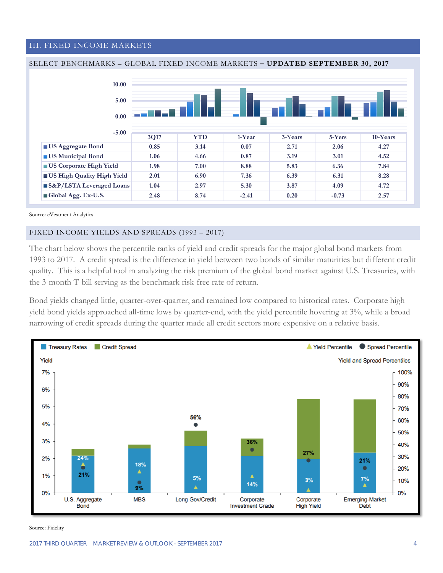#### III. FIXED INCOME MARKETS





Source: eVestment Analytics

#### FIXED INCOME YIELDS AND SPREADS (1993 – 2017)

The chart below shows the percentile ranks of yield and credit spreads for the major global bond markets from 1993 to 2017. A credit spread is the difference in yield between two bonds of similar maturities but different credit quality. This is a helpful tool in analyzing the risk premium of the global bond market against U.S. Treasuries, with the 3-month T-bill serving as the benchmark risk-free rate of return.

Bond yields changed little, quarter-over-quarter, and remained low compared to historical rates. Corporate high yield bond yields approached all-time lows by quarter-end, with the yield percentile hovering at 3%, while a broad narrowing of credit spreads during the quarter made all credit sectors more expensive on a relative basis.

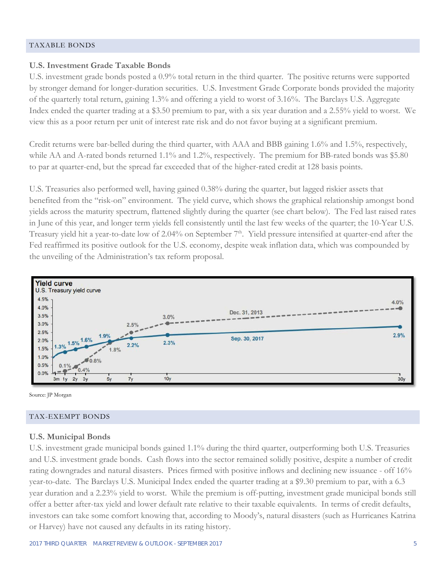#### TAXABLE BONDS

## **U.S. Investment Grade Taxable Bonds**

U.S. investment grade bonds posted a 0.9% total return in the third quarter. The positive returns were supported by stronger demand for longer-duration securities. U.S. Investment Grade Corporate bonds provided the majority of the quarterly total return, gaining 1.3% and offering a yield to worst of 3.16%. The Barclays U.S. Aggregate Index ended the quarter trading at a \$3.50 premium to par, with a six year duration and a 2.55% yield to worst. We view this as a poor return per unit of interest rate risk and do not favor buying at a significant premium.

Credit returns were bar-belled during the third quarter, with AAA and BBB gaining 1.6% and 1.5%, respectively, while AA and A-rated bonds returned 1.1% and 1.2%, respectively. The premium for BB-rated bonds was \$5.80 to par at quarter-end, but the spread far exceeded that of the higher-rated credit at 128 basis points.

U.S. Treasuries also performed well, having gained 0.38% during the quarter, but lagged riskier assets that benefited from the "risk-on" environment. The yield curve, which shows the graphical relationship amongst bond yields across the maturity spectrum, flattened slightly during the quarter (see chart below). The Fed last raised rates in June of this year, and longer term yields fell consistently until the last few weeks of the quarter; the 10-Year U.S. Treasury yield hit a year-to-date low of 2.04% on September  $7<sup>th</sup>$ . Yield pressure intensified at quarter-end after the Fed reaffirmed its positive outlook for the U.S. economy, despite weak inflation data, which was compounded by the unveiling of the Administration's tax reform proposal.



Source: JP Morgan

#### TAX-EXEMPT BONDS

#### **U.S. Municipal Bonds**

U.S. investment grade municipal bonds gained 1.1% during the third quarter, outperforming both U.S. Treasuries and U.S. investment grade bonds. Cash flows into the sector remained solidly positive, despite a number of credit rating downgrades and natural disasters. Prices firmed with positive inflows and declining new issuance - off 16% year-to-date. The Barclays U.S. Municipal Index ended the quarter trading at a \$9.30 premium to par, with a 6.3 year duration and a 2.23% yield to worst. While the premium is off-putting, investment grade municipal bonds still offer a better after-tax yield and lower default rate relative to their taxable equivalents. In terms of credit defaults, investors can take some comfort knowing that, according to Moody's, natural disasters (such as Hurricanes Katrina or Harvey) have not caused any defaults in its rating history.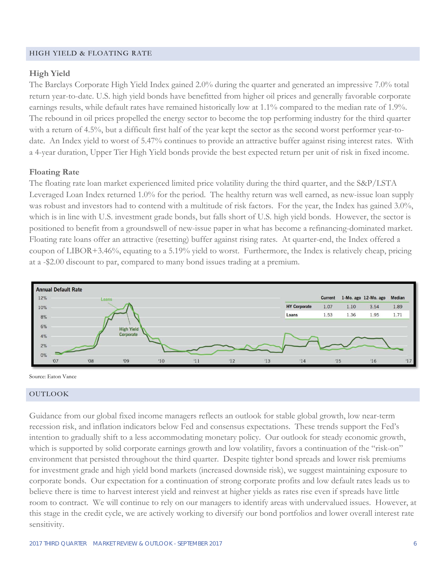#### HIGH YIELD & FLOATING RATE

## **High Yield**

The Barclays Corporate High Yield Index gained 2.0% during the quarter and generated an impressive 7.0% total return year-to-date. U.S. high yield bonds have benefitted from higher oil prices and generally favorable corporate earnings results, while default rates have remained historically low at 1.1% compared to the median rate of 1.9%. The rebound in oil prices propelled the energy sector to become the top performing industry for the third quarter with a return of 4.5%, but a difficult first half of the year kept the sector as the second worst performer year-todate. An Index yield to worst of 5.47% continues to provide an attractive buffer against rising interest rates. With a 4-year duration, Upper Tier High Yield bonds provide the best expected return per unit of risk in fixed income.

## **Floating Rate**

The floating rate loan market experienced limited price volatility during the third quarter, and the S&P/LSTA Leveraged Loan Index returned 1.0% for the period. The healthy return was well earned, as new-issue loan supply was robust and investors had to contend with a multitude of risk factors. For the year, the Index has gained 3.0%, which is in line with U.S. investment grade bonds, but falls short of U.S. high yield bonds. However, the sector is positioned to benefit from a groundswell of new-issue paper in what has become a refinancing-dominated market. Floating rate loans offer an attractive (resetting) buffer against rising rates. At quarter-end, the Index offered a coupon of LIBOR+3.46%, equating to a 5.19% yield to worst. Furthermore, the Index is relatively cheap, pricing at a -\$2.00 discount to par, compared to many bond issues trading at a premium.



Source: Eaton Vance

#### OUTLOOK

Guidance from our global fixed income managers reflects an outlook for stable global growth, low near-term recession risk, and inflation indicators below Fed and consensus expectations. These trends support the Fed's intention to gradually shift to a less accommodating monetary policy. Our outlook for steady economic growth, which is supported by solid corporate earnings growth and low volatility, favors a continuation of the "risk-on" environment that persisted throughout the third quarter. Despite tighter bond spreads and lower risk premiums for investment grade and high yield bond markets (increased downside risk), we suggest maintaining exposure to corporate bonds. Our expectation for a continuation of strong corporate profits and low default rates leads us to believe there is time to harvest interest yield and reinvest at higher yields as rates rise even if spreads have little room to contract. We will continue to rely on our managers to identify areas with undervalued issues. However, at this stage in the credit cycle, we are actively working to diversify our bond portfolios and lower overall interest rate sensitivity.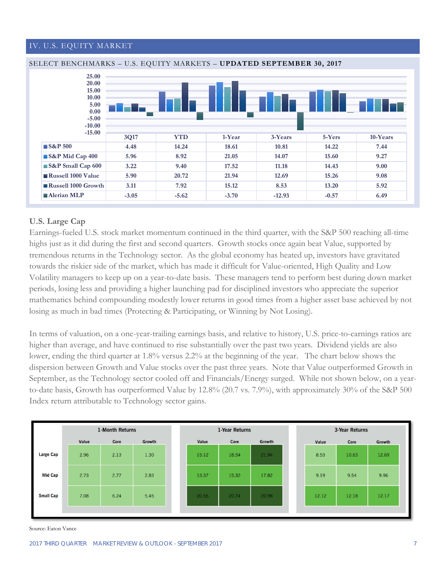## IV. U.S. EQUITY MARKET



# **U.S. Large Cap**

Earnings-fueled U.S. stock market momentum continued in the third quarter, with the S&P 500 reaching all-time highs just as it did during the first and second quarters. Growth stocks once again beat Value, supported by tremendous returns in the Technology sector. As the global economy has heated up, investors have gravitated towards the riskier side of the market, which has made it difficult for Value-oriented, High Quality and Low Volatility managers to keep up on a year-to-date basis. These managers tend to perform best during down market periods, losing less and providing a higher launching pad for disciplined investors who appreciate the superior mathematics behind compounding modestly lower returns in good times from a higher asset base achieved by not losing as much in bad times (Protecting & Participating, or Winning by Not Losing).

In terms of valuation, on a one-year-trailing earnings basis, and relative to history, U.S. price-to-earnings ratios are higher than average, and have continued to rise substantially over the past two years. Dividend yields are also lower, ending the third quarter at 1.8% versus 2.2% at the beginning of the year. The chart below shows the dispersion between Growth and Value stocks over the past three years. Note that Value outperformed Growth in September, as the Technology sector cooled off and Financials/Energy surged. While not shown below, on a yearto-date basis, Growth has outperformed Value by 12.8% (20.7 vs. 7.9%), with approximately 30% of the S&P 500 Index return attributable to Technology sector gains.



Source: Eaton Vance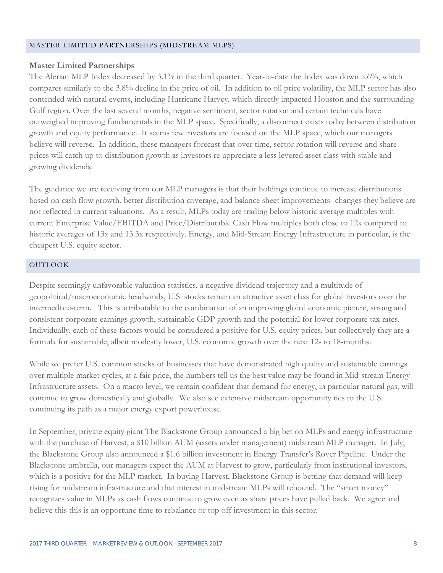#### MASTER LIMITED PARTNERSHIPS (MIDSTREAM MLPS)

# **Master Limited Partnerships**

The Alerian MLP Index decreased by 3.1% in the third quarter. Year-to-date the Index was down 5.6%, which compares similarly to the 3.8% decline in the price of oil. In addition to oil price volatility, the MLP sector has also contended with natural events, including Hurricane Harvey, which directly impacted Houston and the surrounding Gulf region. Over the last several months, negative sentiment, sector rotation and certain technicals have outweighed improving fundamentals in the MLP space. Specifically, a disconnect exists today between distribution growth and equity performance. It seems few investors are focused on the MLP space, which our managers believe will reverse. In addition, these managers forecast that over time, sector rotation will reverse and share prices will catch up to distribution growth as investors re-appreciate a less levered asset class with stable and growing dividends.

The guidance we are receiving from our MLP managers is that their holdings continue to increase distributions based on cash flow growth, better distribution coverage, and balance sheet improvements- changes they believe are not reflected in current valuations. As a result, MLPs today are trading below historic average multiples with current Enterprise Value/EBITDA and Price/Distributable Cash Flow multiples both close to 12x compared to historic averages of 13x and 13.3x respectively. Energy, and Mid-Stream Energy Infrastructure in particular, is the cheapest U.S. equity sector.

## OUTLOOK

Despite seemingly unfavorable valuation statistics, a negative dividend trajectory and a multitude of geopolitical/macroeconomic headwinds, U.S. stocks remain an attractive asset class for global investors over the intermediate-term. This is attributable to the combination of an improving global economic picture, strong and consistent corporate earnings growth, sustainable GDP growth and the potential for lower corporate tax rates. Individually, each of these factors would be considered a positive for U.S. equity prices, but collectively they are a formula for sustainable, albeit modestly lower, U.S. economic growth over the next 12- to 18-months.

While we prefer U.S. common stocks of businesses that have demonstrated high quality and sustainable earnings over multiple market cycles, at a fair price, the numbers tell us the best value may be found in Mid-stream Energy Infrastructure assets. On a macro level, we remain confident that demand for energy, in particular natural gas, will continue to grow domestically and globally. We also see extensive midstream opportunity ties to the U.S. continuing its path as a major energy export powerhouse.

In September, private equity giant The Blackstone Group announced a big bet on MLPs and energy infrastructure with the purchase of Harvest, a \$10 billion AUM (assets under management) midstream MLP manager. In July, the Blackstone Group also announced a \$1.6 billion investment in Energy Transfer's Rover Pipeline. Under the Blackstone umbrella, our managers expect the AUM at Harvest to grow, particularly from institutional investors, which is a positive for the MLP market. In buying Harvest, Blackstone Group is betting that demand will keep rising for midstream infrastructure and that interest in midstream MLPs will rebound. The "smart money" recognizes value in MLPs as cash flows continue to grow even as share prices have pulled back. We agree and believe this this is an opportune time to rebalance or top off investment in this sector.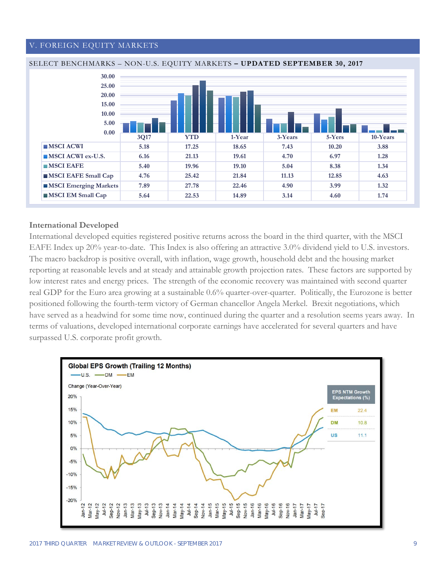#### V. FOREIGN EQUITY MARKETS





#### **International Developed**

International developed equities registered positive returns across the board in the third quarter, with the MSCI EAFE Index up 20% year-to-date. This Index is also offering an attractive 3.0% dividend yield to U.S. investors. The macro backdrop is positive overall, with inflation, wage growth, household debt and the housing market reporting at reasonable levels and at steady and attainable growth projection rates. These factors are supported by low interest rates and energy prices. The strength of the economic recovery was maintained with second quarter real GDP for the Euro area growing at a sustainable 0.6% quarter-over-quarter. Politically, the Eurozone is better positioned following the fourth-term victory of German chancellor Angela Merkel. Brexit negotiations, which have served as a headwind for some time now, continued during the quarter and a resolution seems years away. In terms of valuations, developed international corporate earnings have accelerated for several quarters and have surpassed U.S. corporate profit growth.